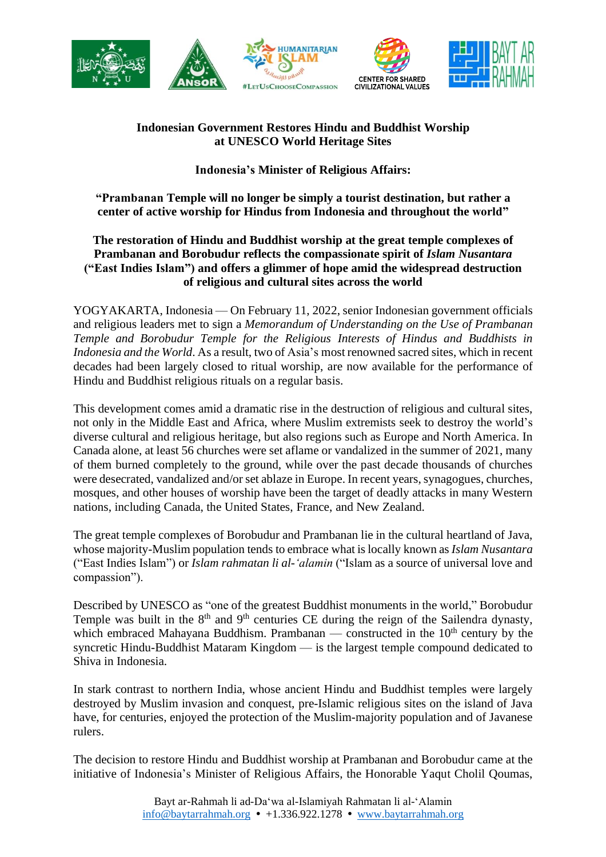

## **Indonesian Government Restores Hindu and Buddhist Worship at UNESCO World Heritage Sites**

**Indonesia's Minister of Religious Affairs:**

**"Prambanan Temple will no longer be simply a tourist destination, but rather a center of active worship for Hindus from Indonesia and throughout the world"**

## **The restoration of Hindu and Buddhist worship at the great temple complexes of Prambanan and Borobudur reflects the compassionate spirit of** *Islam Nusantara* **("East Indies Islam") and offers a glimmer of hope amid the widespread destruction of religious and cultural sites across the world**

YOGYAKARTA, Indonesia — On February 11, 2022, senior Indonesian government officials and religious leaders met to sign a *Memorandum of Understanding on the Use of Prambanan Temple and Borobudur Temple for the Religious Interests of Hindus and Buddhists in Indonesia and the World*. As a result, two of Asia's most renowned sacred sites, which in recent decades had been largely closed to ritual worship, are now available for the performance of Hindu and Buddhist religious rituals on a regular basis.

This development comes amid a dramatic rise in the destruction of religious and cultural sites, not only in the Middle East and Africa, where Muslim extremists seek to destroy the world's diverse cultural and religious heritage, but also regions such as Europe and North America. In Canada alone, at least 56 churches were set aflame or vandalized in the summer of 2021, many of them burned completely to the ground, while over the past decade thousands of churches were desecrated, vandalized and/or set ablaze in Europe. In recent years, synagogues, churches, mosques, and other houses of worship have been the target of deadly attacks in many Western nations, including Canada, the United States, France, and New Zealand.

The great temple complexes of Borobudur and Prambanan lie in the cultural heartland of Java, whose majority-Muslim population tends to embrace what islocally known as*Islam Nusantara* ("East Indies Islam") or *Islam rahmatan li al-'alamin* ("Islam as a source of universal love and compassion").

Described by UNESCO as "one of the greatest Buddhist monuments in the world," Borobudur Temple was built in the  $8<sup>th</sup>$  and  $9<sup>th</sup>$  centuries CE during the reign of the Sailendra dynasty, which embraced Mahayana Buddhism. Prambanan — constructed in the  $10<sup>th</sup>$  century by the syncretic Hindu-Buddhist Mataram Kingdom — is the largest temple compound dedicated to Shiva in Indonesia.

In stark contrast to northern India, whose ancient Hindu and Buddhist temples were largely destroyed by Muslim invasion and conquest, pre-Islamic religious sites on the island of Java have, for centuries, enjoyed the protection of the Muslim-majority population and of Javanese rulers.

The decision to restore Hindu and Buddhist worship at Prambanan and Borobudur came at the initiative of Indonesia's Minister of Religious Affairs, the Honorable Yaqut Cholil Qoumas,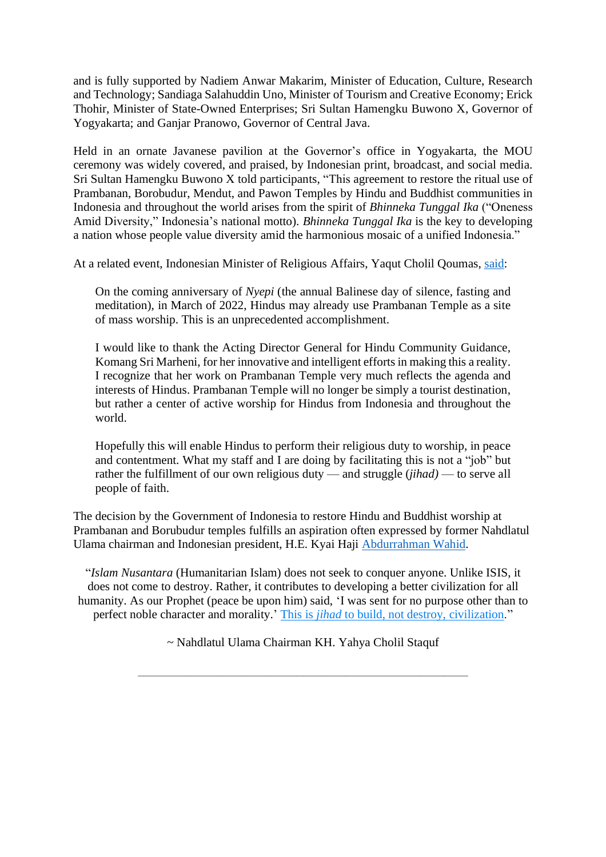and is fully supported by Nadiem Anwar Makarim, Minister of Education, Culture, Research and Technology; Sandiaga Salahuddin Uno, Minister of Tourism and Creative Economy; Erick Thohir, Minister of State-Owned Enterprises; Sri Sultan Hamengku Buwono X, Governor of Yogyakarta; and Ganjar Pranowo, Governor of Central Java.

Held in an ornate Javanese pavilion at the Governor's office in Yogyakarta, the MOU ceremony was widely covered, and praised, by Indonesian print, broadcast, and social media. Sri Sultan Hamengku Buwono X told participants, "This agreement to restore the ritual use of Prambanan, Borobudur, Mendut, and Pawon Temples by Hindu and Buddhist communities in Indonesia and throughout the world arises from the spirit of *Bhinneka Tunggal Ika* ("Oneness Amid Diversity," Indonesia's national motto). *Bhinneka Tunggal Ika* is the key to developing a nation whose people value diversity amid the harmonious mosaic of a unified Indonesia."

At a related event, Indonesian Minister of Religious Affairs, Yaqut Cholil Qoumas, [said:](https://www.baytarrahmah.org/media/2022/kementerian-agama_candi-prambanan-bisa-jadi-tempat-ibadah-massal-umat-hindu_01-16-22.pdf)

On the coming anniversary of *Nyepi* (the annual Balinese day of silence, fasting and meditation), in March of 2022, Hindus may already use Prambanan Temple as a site of mass worship. This is an unprecedented accomplishment.

I would like to thank the Acting Director General for Hindu Community Guidance, Komang Sri Marheni, for her innovative and intelligent efforts in making this a reality. I recognize that her work on Prambanan Temple very much reflects the agenda and interests of Hindus. Prambanan Temple will no longer be simply a tourist destination, but rather a center of active worship for Hindus from Indonesia and throughout the world.

Hopefully this will enable Hindus to perform their religious duty to worship, in peace and contentment. What my staff and I are doing by facilitating this is not a "job" but rather the fulfillment of our own religious duty — and struggle (*jihad)* — to serve all people of faith.

The decision by the Government of Indonesia to restore Hindu and Buddhist worship at Prambanan and Borubudur temples fulfills an aspiration often expressed by former Nahdlatul Ulama chairman and Indonesian president, H.E. Kyai Haji [Abdurrahman Wahid.](https://libforall.org/cofounder-guiding-spirit/)

"*Islam Nusantara* (Humanitarian Islam) does not seek to conquer anyone. Unlike ISIS, it does not come to destroy. Rather, it contributes to developing a better civilization for all humanity. As our Prophet (peace be upon him) said, 'I was sent for no purpose other than to perfect noble character and morality.' This is *jihad* [to build, not destroy, civilization.](https://baytarrahmah.org/2022_02_11_indonesian-government-restores-hindu-and-buddhist-worship-at-unesco-world-heritage-sites/)"

~ Nahdlatul Ulama Chairman KH. Yahya Cholil Staquf

\_\_\_\_\_\_\_\_\_\_\_\_\_\_\_\_\_\_\_\_\_\_\_\_\_\_\_\_\_\_\_\_\_\_\_\_\_\_\_\_\_\_\_\_\_\_\_\_\_\_\_\_\_\_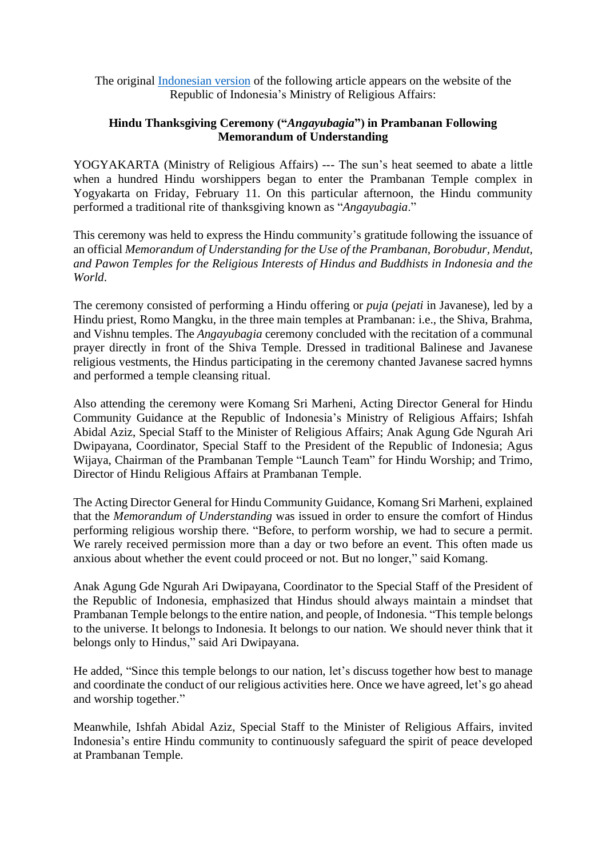The original [Indonesian](https://www.baytarrahmah.org/media/2022/kementerian-agama_angayubagia-upacara-syukur-umat-hindu-di-prambanan-usai-nota-kesepakatan_02-12-22.pdf) version of the following article appears on the website of the Republic of Indonesia's Ministry of Religious Affairs:

## **Hindu Thanksgiving Ceremony ("***Angayubagia***") in Prambanan Following Memorandum of Understanding**

YOGYAKARTA (Ministry of Religious Affairs) --- The sun's heat seemed to abate a little when a hundred Hindu worshippers began to enter the Prambanan Temple complex in Yogyakarta on Friday, February 11. On this particular afternoon, the Hindu community performed a traditional rite of thanksgiving known as "*Angayubagia*."

This ceremony was held to express the Hindu community's gratitude following the issuance of an official *Memorandum of Understanding for the Use of the Prambanan, Borobudur, Mendut, and Pawon Temples for the Religious Interests of Hindus and Buddhists in Indonesia and the World*.

The ceremony consisted of performing a Hindu offering or *puja* (*pejati* in Javanese), led by a Hindu priest, Romo Mangku, in the three main temples at Prambanan: i.e., the Shiva, Brahma, and Vishnu temples. The *Angayubagia* ceremony concluded with the recitation of a communal prayer directly in front of the Shiva Temple. Dressed in traditional Balinese and Javanese religious vestments, the Hindus participating in the ceremony chanted Javanese sacred hymns and performed a temple cleansing ritual.

Also attending the ceremony were Komang Sri Marheni, Acting Director General for Hindu Community Guidance at the Republic of Indonesia's Ministry of Religious Affairs; Ishfah Abidal Aziz, Special Staff to the Minister of Religious Affairs; Anak Agung Gde Ngurah Ari Dwipayana, Coordinator, Special Staff to the President of the Republic of Indonesia; Agus Wijaya, Chairman of the Prambanan Temple "Launch Team" for Hindu Worship; and Trimo, Director of Hindu Religious Affairs at Prambanan Temple.

The Acting Director General for Hindu Community Guidance, Komang Sri Marheni, explained that the *Memorandum of Understanding* was issued in order to ensure the comfort of Hindus performing religious worship there. "Before, to perform worship, we had to secure a permit. We rarely received permission more than a day or two before an event. This often made us anxious about whether the event could proceed or not. But no longer," said Komang.

Anak Agung Gde Ngurah Ari Dwipayana, Coordinator to the Special Staff of the President of the Republic of Indonesia, emphasized that Hindus should always maintain a mindset that Prambanan Temple belongs to the entire nation, and people, of Indonesia. "This temple belongs to the universe. It belongs to Indonesia. It belongs to our nation. We should never think that it belongs only to Hindus," said Ari Dwipayana.

He added, "Since this temple belongs to our nation, let's discuss together how best to manage and coordinate the conduct of our religious activities here. Once we have agreed, let's go ahead and worship together."

Meanwhile, Ishfah Abidal Aziz, Special Staff to the Minister of Religious Affairs, invited Indonesia's entire Hindu community to continuously safeguard the spirit of peace developed at Prambanan Temple.